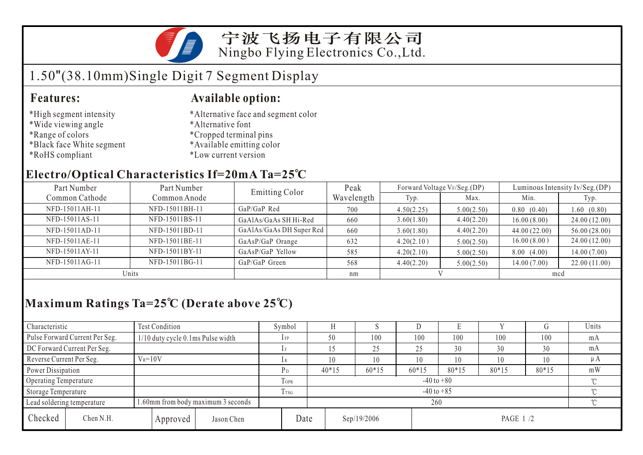

宁波飞扬电子有限公司 Ningbo Flying Electronics Co.,Ltd.

# 1.50"(38.10mm)Single Digit 7 Segment Display

#### **Features: Available option:**

- \*High segment intensity
- \*Wide viewing angle
- \*Range of colors
- \*Black face White segment
- \*RoHS compliant
- \*Alternative face and segment color
- \*Alternative font
- \*Cropped terminal pins
- \*Available emitting color
- \*Low current version

### **Electro/Optical Characteristics If=20mA Ta=25 C**

| Part Number    | Part Number    | <b>Emitting Color</b>    | Peak       |            | Forward Voltage VF/Seg.(DP) | Luminous Intensity Iv/Seg.(DP) |              |  |
|----------------|----------------|--------------------------|------------|------------|-----------------------------|--------------------------------|--------------|--|
| Common Cathode | Common Anode   |                          | Wavelength | Typ.       | Max.                        | Min.                           | Typ.         |  |
| NFD-15011AH-11 | NFD-15011BH-11 | GaP/GaP Red              | 700        | 4.50(2.25) | 5.00(2.50)                  | 0.80(0.40)                     | 1.60(0.80)   |  |
| NFD-15011AS-11 | NFD-15011BS-11 | GaAlAs/GaAs SH Hi-Red    | 660        | 3.60(1.80) | 4.40(2.20)                  | 16.00(8.00)                    | 24.00(12.00) |  |
| NFD-15011AD-11 | NFD-15011BD-11 | GaAlAs/GaAs DH Super Red | 660        | 3.60(1.80) | 4.40(2.20)                  | 44.00(22.00)                   | 56.00(28.00) |  |
| NFD-15011AE-11 | NFD-15011BE-11 | GaAsP/GaP Orange         | 632        | 4.20(2.10) | 5.00(2.50)                  | 16.00(8.00)                    | 24.00(12.00) |  |
| NFD-15011AY-11 | NFD-15011BY-11 | GaAsP/GaP Yellow         | 585        | 4.20(2.10) | 5.00(2.50)                  | 8.00(4.00)                     | 14.00(7.00)  |  |
| NFD-15011AG-11 | NFD-15011BG-11 | GaP/GaP Green            | 568        | 4.40(2.20) | 5.00(2.50)                  | 14.00(7.00)                    | 22.00(11.00) |  |
| Units          |                |                          | nm         |            |                             | mcd                            |              |  |

## **Maximum Ratings Ta=25 C (Derate above 25 C)**

| Characteristic                                                   |                                | Test Condition                    |                  |                            | Symbol                   |    |             |         |         | L.       |       |         | Units   |  |
|------------------------------------------------------------------|--------------------------------|-----------------------------------|------------------|----------------------------|--------------------------|----|-------------|---------|---------|----------|-------|---------|---------|--|
|                                                                  | Pulse Forward Current Per Seg. | 1/10 duty cycle 0.1ms Pulse width |                  |                            | $1$ FP                   |    | 50          | 100     | 100     | 100      | 100   | 100     | mA      |  |
| DC Forward Current Per Seg.                                      |                                |                                   | 1F               |                            |                          | 25 | 25          | 30      | 30      | 30       | mA    |         |         |  |
| Reverse Current Per Seg.                                         |                                | $V_R = 10V$                       |                  |                            | 1 R                      |    | 10          | 10      | 10      | 10       | 10    | 10      | $\mu A$ |  |
| Power Dissipation                                                |                                |                                   |                  |                            | Pр                       |    | $40*15$     | $60*15$ | $60*15$ | $80*15$  | 80*15 | $80*15$ | mW      |  |
| Operating Temperature                                            |                                |                                   |                  | <b>TOPR</b>                | $-40$ to $+80$<br>$\sim$ |    |             |         |         |          |       |         |         |  |
| Storage Temperature                                              |                                |                                   | T <sub>rsG</sub> | $\gamma$<br>$-40$ to $+85$ |                          |    |             |         |         |          |       |         |         |  |
| 1.60mm from body maximum 3 seconds<br>Lead soldering temperature |                                |                                   |                  | 260                        |                          |    |             |         |         |          | ∽     |         |         |  |
| Checked                                                          | Chen N.H.                      |                                   | Approved         | Jason Chen                 | Date                     |    | Sep/19/2006 |         |         | PAGE 1/2 |       |         |         |  |